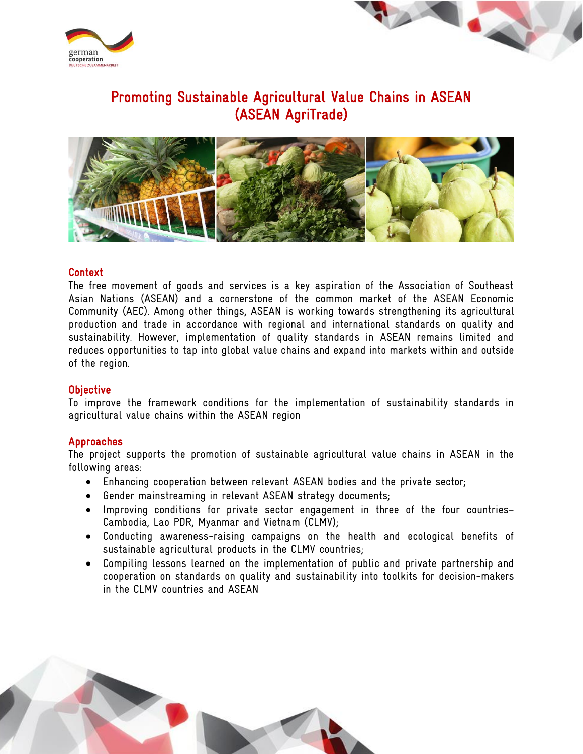



# Promoting Sustainable Agricultural Value Chains in ASEAN (ASEAN AgriTrade)



## Context

The free movement of goods and services is a key aspiration of the Association of Southeast Asian Nations (ASEAN) and a cornerstone of the common market of the ASEAN Economic Community (AEC). Among other things, ASEAN is working towards strengthening its agricultural production and trade in accordance with regional and international standards on quality and sustainability. However, implementation of quality standards in ASEAN remains limited and reduces opportunities to tap into global value chains and expand into markets within and outside of the region.

#### **Objective**

To improve the framework conditions for the implementation of sustainability standards in agricultural value chains within the ASEAN region

## Approaches

The project supports the promotion of sustainable agricultural value chains in ASEAN in the following areas:

- Enhancing cooperation between relevant ASEAN bodies and the private sector;
- Gender mainstreaming in relevant ASEAN strategy documents;
- Improving conditions for private sector engagement in three of the four countries– Cambodia, Lao PDR, Myanmar and Vietnam (CLMV);
- Conducting awareness-raising campaigns on the health and ecological benefits of sustainable agricultural products in the CLMV countries;
- Compiling lessons learned on the implementation of public and private partnership and cooperation on standards on quality and sustainability into toolkits for decision-makers in the CLMV countries and ASEAN